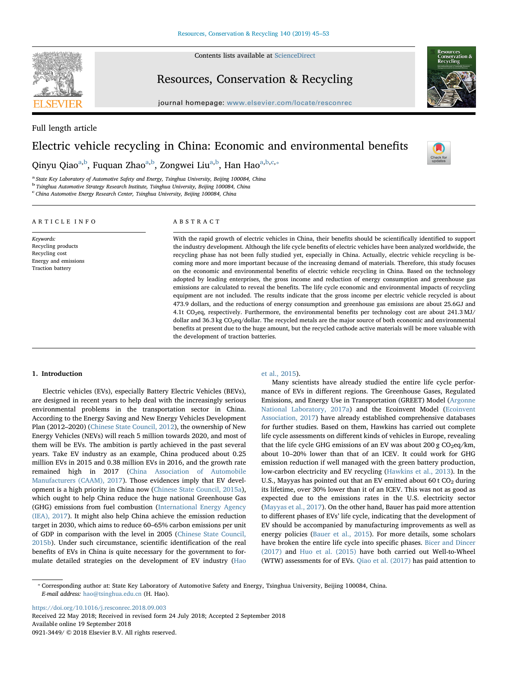**SEVIER** 

Contents lists available at [ScienceDirect](http://www.sciencedirect.com/science/journal/09213449)

# Resources, Conservation & Recycling

journal homepage: [www.elsevier.com/locate/resconrec](https://www.elsevier.com/locate/resconrec)



# Full length article

# Electric vehicle recycling in China: Economic and environmental benefits

Qinyu Qiao<sup>[a,](#page-0-0)[b](#page-0-1)</sup>, Fuqu[a](#page-0-0)n Zhao<sup>a[,b](#page-0-1)</sup>, Zongwei Liu<sup>a,b</sup>, Han Hao<sup>a,b,[c](#page-0-2),</sup>\*

<span id="page-0-0"></span><sup>a</sup> State Key Laboratory of Automotive Safety and Energy, Tsinghua University, Beijing 100084, China

<span id="page-0-1"></span><sup>b</sup> Tsinghua Automotive Strategy Research Institute, Tsinghua University, Beijing 100084, China

<span id="page-0-2"></span>c<br>China Automotive Energy Research Center, Tsinghua University, Beijing 100084, China

# ARTICLE INFO Keywords:

Recycling products Recycling cost Energy and emissions Traction battery

# ABSTRACT

With the rapid growth of electric vehicles in China, their benefits should be scientifically identified to support the industry development. Although the life cycle benefits of electric vehicles have been analyzed worldwide, the recycling phase has not been fully studied yet, especially in China. Actually, electric vehicle recycling is becoming more and more important because of the increasing demand of materials. Therefore, this study focuses on the economic and environmental benefits of electric vehicle recycling in China. Based on the technology adopted by leading enterprises, the gross income and reduction of energy consumption and greenhouse gas emissions are calculated to reveal the benefits. The life cycle economic and environmental impacts of recycling equipment are not included. The results indicate that the gross income per electric vehicle recycled is about 473.9 dollars, and the reductions of energy consumption and greenhouse gas emissions are about 25.6GJ and 4.1t CO2eq, respectively. Furthermore, the environmental benefits per technology cost are about 241.3 MJ/ dollar and 36.3 kg CO<sub>2</sub>eq/dollar. The recycled metals are the major source of both economic and environmental benefits at present due to the huge amount, but the recycled cathode active materials will be more valuable with the development of traction batteries.

### 1. Introduction

Electric vehicles (EVs), especially Battery Electric Vehicles (BEVs), are designed in recent years to help deal with the increasingly serious environmental problems in the transportation sector in China. According to the Energy Saving and New Energy Vehicles Development Plan (2012–2020) [\(Chinese State Council, 2012](#page-8-0)), the ownership of New Energy Vehicles (NEVs) will reach 5 million towards 2020, and most of them will be EVs. The ambition is partly achieved in the past several years. Take EV industry as an example, China produced about 0.25 million EVs in 2015 and 0.38 million EVs in 2016, and the growth rate remained high in 2017 ([China Association of Automobile](#page-8-1) [Manufacturers \(CAAM\), 2017\)](#page-8-1). Those evidences imply that EV development is a high priority in China now [\(Chinese State Council, 2015a](#page-8-2)), which ought to help China reduce the huge national Greenhouse Gas (GHG) emissions from fuel combustion ([International Energy Agency](#page-8-3) [\(IEA\), 2017](#page-8-3)). It might also help China achieve the emission reduction target in 2030, which aims to reduce 60–65% carbon emissions per unit of GDP in comparison with the level in 2005 [\(Chinese State Council,](#page-8-4) [2015b\)](#page-8-4). Under such circumstance, scientific identification of the real benefits of EVs in China is quite necessary for the government to formulate detailed strategies on the development of EV industry [\(Hao](#page-8-5)

### [et al., 2015](#page-8-5)).

Many scientists have already studied the entire life cycle performance of EVs in different regions. The Greenhouse Gases, Regulated Emissions, and Energy Use in Transportation (GREET) Model ([Argonne](#page-7-0) [National Laboratory, 2017a\)](#page-7-0) and the Ecoinvent Model ([Ecoinvent](#page-8-6) [Association, 2017](#page-8-6)) have already established comprehensive databases for further studies. Based on them, Hawkins has carried out complete life cycle assessments on different kinds of vehicles in Europe, revealing that the life cycle GHG emissions of an EV was about 200 g  $CO<sub>2</sub>$ eq/km, about 10–20% lower than that of an ICEV. It could work for GHG emission reduction if well managed with the green battery production, low-carbon electricity and EV recycling ([Hawkins et al., 2013](#page-8-7)). In the U.S., Mayyas has pointed out that an EV emitted about 60 t  $CO<sub>2</sub>$  during its lifetime, over 30% lower than it of an ICEV. This was not as good as expected due to the emissions rates in the U.S. electricity sector ([Mayyas et al., 2017\)](#page-8-8). On the other hand, Bauer has paid more attention to different phases of EVs' life cycle, indicating that the development of EV should be accompanied by manufacturing improvements as well as energy policies [\(Bauer et al., 2015](#page-7-1)). For more details, some scholars have broken the entire life cycle into specific phases. [Bicer and Dincer](#page-7-2) [\(2017\)](#page-7-2) and [Huo et al. \(2015\)](#page-8-9) have both carried out Well-to-Wheel (WTW) assessments for of EVs. [Qiao et al. \(2017\)](#page-8-10) has paid attention to

<https://doi.org/10.1016/j.resconrec.2018.09.003> Received 22 May 2018; Received in revised form 24 July 2018; Accepted 2 September 2018 Available online 19 September 2018 0921-3449/ © 2018 Elsevier B.V. All rights reserved.



 $\frac{N}{2}$ 

<span id="page-0-3"></span><sup>⁎</sup> Corresponding author at: State Key Laboratory of Automotive Safety and Energy, Tsinghua University, Beijing 100084, China. E-mail address: [hao@tsinghua.edu.cn](mailto:hao@tsinghua.edu.cn) (H. Hao).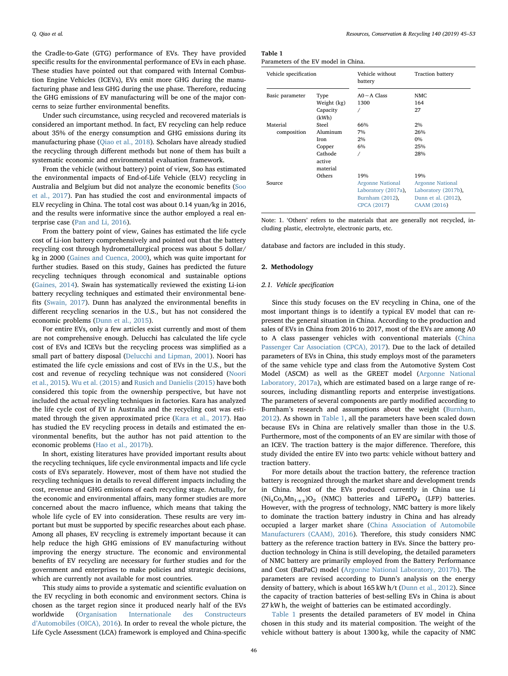the Cradle-to-Gate (GTG) performance of EVs. They have provided specific results for the environmental performance of EVs in each phase. These studies have pointed out that compared with Internal Combustion Engine Vehicles (ICEVs), EVs emit more GHG during the manufacturing phase and less GHG during the use phase. Therefore, reducing the GHG emissions of EV manufacturing will be one of the major concerns to seize further environmental benefits.

Under such circumstance, using recycled and recovered materials is considered an important method. In fact, EV recycling can help reduce about 35% of the energy consumption and GHG emissions during its manufacturing phase [\(Qiao et al., 2018](#page-8-11)). Scholars have already studied the recycling through different methods but none of them has built a systematic economic and environmental evaluation framework.

From the vehicle (without battery) point of view, Soo has estimated the environmental impacts of End-of-Life Vehicle (ELV) recycling in Australia and Belgium but did not analyze the economic benefits ([Soo](#page-8-12) [et al., 2017\)](#page-8-12). Pan has studied the cost and environmental impacts of ELV recycling in China. The total cost was about 0.14 yuan/kg in 2016, and the results were informative since the author employed a real enterprise case ([Pan and Li, 2016\)](#page-8-13).

From the battery point of view, Gaines has estimated the life cycle cost of Li-ion battery comprehensively and pointed out that the battery recycling cost through hydrometallurgical process was about 5 dollar/ kg in 2000 ([Gaines and Cuenca, 2000](#page-8-14)), which was quite important for further studies. Based on this study, Gaines has predicted the future recycling techniques through economical and sustainable options ([Gaines, 2014](#page-8-15)). Swain has systematically reviewed the existing Li-ion battery recycling techniques and estimated their environmental benefits ([Swain, 2017\)](#page-8-16). Dunn has analyzed the environmental benefits in different recycling scenarios in the U.S., but has not considered the economic problems [\(Dunn et al., 2015\)](#page-8-17).

For entire EVs, only a few articles exist currently and most of them are not comprehensive enough. Delucchi has calculated the life cycle cost of EVs and ICEVs but the recycling process was simplified as a small part of battery disposal ([Delucchi and Lipman, 2001](#page-8-18)). Noori has estimated the life cycle emissions and cost of EVs in the U.S., but the cost and revenue of recycling technique was not considered ([Noori](#page-8-19) [et al., 2015\)](#page-8-19). [Wu et al. \(2015\)](#page-8-20) and [Rusich and Danielis \(2015\)](#page-8-21) have both considered this topic from the ownership perspective, but have not included the actual recycling techniques in factories. Kara has analyzed the life cycle cost of EV in Australia and the recycling cost was estimated through the given approximated price [\(Kara et al., 2017](#page-8-22)). Hao has studied the EV recycling process in details and estimated the environmental benefits, but the author has not paid attention to the economic problems [\(Hao et al., 2017b](#page-8-23)).

In short, existing literatures have provided important results about the recycling techniques, life cycle environmental impacts and life cycle costs of EVs separately. However, most of them have not studied the recycling techniques in details to reveal different impacts including the cost, revenue and GHG emissions of each recycling stage. Actually, for the economic and environmental affairs, many former studies are more concerned about the macro influence, which means that taking the whole life cycle of EV into consideration. These results are very important but must be supported by specific researches about each phase. Among all phases, EV recycling is extremely important because it can help reduce the high GHG emissions of EV manufacturing without improving the energy structure. The economic and environmental benefits of EV recycling are necessary for further studies and for the government and enterprises to make policies and strategic decisions, which are currently not available for most countries.

This study aims to provide a systematic and scientific evaluation on the EV recycling in both economic and environment sectors. China is chosen as the target region since it produced nearly half of the EVs worldwide [\(Organisation Internationale des Constructeurs](#page-8-24) d'[Automobiles \(OICA\), 2016](#page-8-24)). In order to reveal the whole picture, the Life Cycle Assessment (LCA) framework is employed and China-specific

<span id="page-1-0"></span>

| Table |  |  |
|-------|--|--|
|       |  |  |

| Parameters of the EV model in China. |  |
|--------------------------------------|--|
|--------------------------------------|--|

| Vehicle specification |                               | Vehicle without<br><b>Traction battery</b><br>battery                            |                                                                                      |
|-----------------------|-------------------------------|----------------------------------------------------------------------------------|--------------------------------------------------------------------------------------|
| Basic parameter       | Type<br>Weight (kg)           | $AO \sim A$ Class<br>1300                                                        | NMC.<br>164                                                                          |
|                       | Capacity<br>(kWh)             |                                                                                  | 27                                                                                   |
| Material              | Steel                         | 66%                                                                              | 2%                                                                                   |
| composition           | Aluminum                      | 7%                                                                               | 26%                                                                                  |
|                       | Iron                          | 2%                                                                               | $0\%$                                                                                |
|                       | Copper                        | 6%                                                                               | 25%                                                                                  |
|                       | Cathode<br>active<br>material |                                                                                  | 28%                                                                                  |
|                       | Others                        | 19%                                                                              | 19%                                                                                  |
| Source                |                               | <b>Argonne National</b><br>Laboratory (2017a),<br>Burnham (2012),<br>CPCA (2017) | <b>Argonne National</b><br>Laboratory (2017b),<br>Dunn et al. (2012),<br>CAAM (2016) |

Note: 1. 'Others' refers to the materials that are generally not recycled, including plastic, electrolyte, electronic parts, etc.

database and factors are included in this study.

#### 2. Methodology

#### 2.1. Vehicle specification

Since this study focuses on the EV recycling in China, one of the most important things is to identify a typical EV model that can represent the general situation in China. According to the production and sales of EVs in China from 2016 to 2017, most of the EVs are among A0 to A class passenger vehicles with conventional materials [\(China](#page-8-25) [Passenger Car Association \(CPCA\), 2017](#page-8-25)). Due to the lack of detailed parameters of EVs in China, this study employs most of the parameters of the same vehicle type and class from the Automotive System Cost Model (ASCM) as well as the GREET model ([Argonne National](#page-7-0) [Laboratory, 2017a](#page-7-0)), which are estimated based on a large range of resources, including dismantling reports and enterprise investigations. The parameters of several components are partly modified according to Burnham's research and assumptions about the weight [\(Burnham,](#page-7-3) [2012\)](#page-7-3). As shown in [Table 1](#page-1-0), all the parameters have been scaled down because EVs in China are relatively smaller than those in the U.S. Furthermore, most of the components of an EV are similar with those of an ICEV. The traction battery is the major difference. Therefore, this study divided the entire EV into two parts: vehicle without battery and traction battery.

For more details about the traction battery, the reference traction battery is recognized through the market share and development trends in China. Most of the EVs produced currently in China use Li  $(Ni_xCo_yMn_{1-x-y})O_2$  (NMC) batteries and LiFePO<sub>4</sub> (LFP) batteries. However, with the progress of technology, NMC battery is more likely to dominate the traction battery industry in China and has already occupied a larger market share [\(China Association of Automobile](#page-7-4) [Manufacturers \(CAAM\), 2016](#page-7-4)). Therefore, this study considers NMC battery as the reference traction battery in EVs. Since the battery production technology in China is still developing, the detailed parameters of NMC battery are primarily employed from the Battery Performance and Cost (BatPaC) model [\(Argonne National Laboratory, 2017b](#page-7-5)). The parameters are revised according to Dunn's analysis on the energy density of battery, which is about 165 kW h/t ([Dunn et al., 2012\)](#page-8-26). Since the capacity of traction batteries of best-selling EVs in China is about 27 kW h, the weight of batteries can be estimated accordingly.

[Table 1](#page-1-0) presents the detailed parameters of EV model in China chosen in this study and its material composition. The weight of the vehicle without battery is about 1300 kg, while the capacity of NMC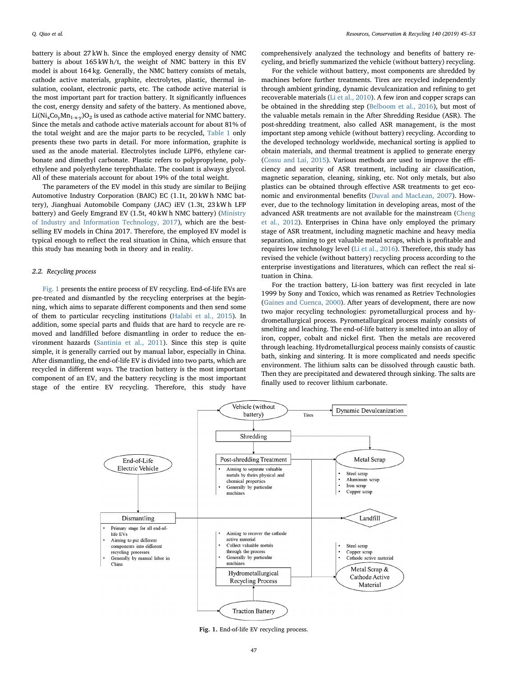battery is about 27 kW h. Since the employed energy density of NMC battery is about 165 kW h/t, the weight of NMC battery in this EV model is about 164 kg. Generally, the NMC battery consists of metals, cathode active materials, graphite, electrolytes, plastic, thermal insulation, coolant, electronic parts, etc. The cathode active material is the most important part for traction battery. It significantly influences the cost, energy density and safety of the battery. As mentioned above,  $Li(Ni_{x}Co_{y}Mn_{1-x-y})O_{2}$  is used as cathode active material for NMC battery. Since the metals and cathode active materials account for about 81% of the total weight and are the major parts to be recycled, [Table 1](#page-1-0) only presents these two parts in detail. For more information, graphite is used as the anode material. Electrolytes include LiPF6, ethylene carbonate and dimethyl carbonate. Plastic refers to polypropylene, polyethylene and polyethylene terephthalate. The coolant is always glycol. All of these materials account for about 19% of the total weight.

The parameters of the EV model in this study are similar to Beijing Automotive Industry Corporation (BAIC) EC (1.1t, 20 kW h NMC battery), Jianghuai Automobile Company (JAC) iEV (1.3t, 23 kW h LFP battery) and Geely Emgrand EV (1.5t, 40 kW h NMC battery) [\(Ministry](#page-8-27) [of Industry and Information Technology, 2017](#page-8-27)), which are the bestselling EV models in China 2017. Therefore, the employed EV model is typical enough to reflect the real situation in China, which ensure that this study has meaning both in theory and in reality.

### 2.2. Recycling process

[Fig. 1](#page-2-0) presents the entire process of EV recycling. End-of-life EVs are pre-treated and dismantled by the recycling enterprises at the beginning, which aims to separate different components and then send some of them to particular recycling institutions [\(Halabi et al., 2015](#page-8-28)). In addition, some special parts and fluids that are hard to recycle are removed and landfilled before dismantling in order to reduce the environment hazards [\(Santinia et al., 2011](#page-8-29)). Since this step is quite simple, it is generally carried out by manual labor, especially in China. After dismantling, the end-of-life EV is divided into two parts, which are recycled in different ways. The traction battery is the most important component of an EV, and the battery recycling is the most important stage of the entire EV recycling. Therefore, this study have

comprehensively analyzed the technology and benefits of battery recycling, and briefly summarized the vehicle (without battery) recycling.

For the vehicle without battery, most components are shredded by machines before further treatments. Tires are recycled independently through ambient grinding, dynamic devulcanization and refining to get recoverable materials [\(Li et al., 2010](#page-8-30)). A few iron and copper scraps can be obtained in the shredding step [\(Belboom et al., 2016](#page-7-6)), but most of the valuable metals remain in the After Shredding Residue (ASR). The post-shredding treatment, also called ASR management, is the most important step among vehicle (without battery) recycling. According to the developed technology worldwide, mechanical sorting is applied to obtain materials, and thermal treatment is applied to generate energy ([Cossu and Lai, 2015\)](#page-8-31). Various methods are used to improve the efficiency and security of ASR treatment, including air classification, magnetic separation, cleaning, sinking, etc. Not only metals, but also plastics can be obtained through effective ASR treatments to get economic and environmental benefits ([Duval and MacLean, 2007](#page-8-32)). However, due to the technology limitation in developing areas, most of the advanced ASR treatments are not available for the mainstream [\(Cheng](#page-7-7) [et al., 2012\)](#page-7-7). Enterprises in China have only employed the primary stage of ASR treatment, including magnetic machine and heavy media separation, aiming to get valuable metal scraps, which is profitable and requires low technology level [\(Li et al., 2016\)](#page-8-33). Therefore, this study has revised the vehicle (without battery) recycling process according to the enterprise investigations and literatures, which can reflect the real situation in China.

For the traction battery, Li-ion battery was first recycled in late 1999 by Sony and Toxico, which was renamed as Retriev Technologies ([Gaines and Cuenca, 2000\)](#page-8-14). After years of development, there are now two major recycling technologies: pyrometallurgical process and hydrometallurgical process. Pyrometallurgical process mainly consists of smelting and leaching. The end-of-life battery is smelted into an alloy of iron, copper, cobalt and nickel first. Then the metals are recovered through leaching. Hydrometallurgical process mainly consists of caustic bath, sinking and sintering. It is more complicated and needs specific environment. The lithium salts can be dissolved through caustic bath. Then they are precipitated and dewatered through sinking. The salts are finally used to recover lithium carbonate.

<span id="page-2-0"></span>

Fig. 1. End-of-life EV recycling process.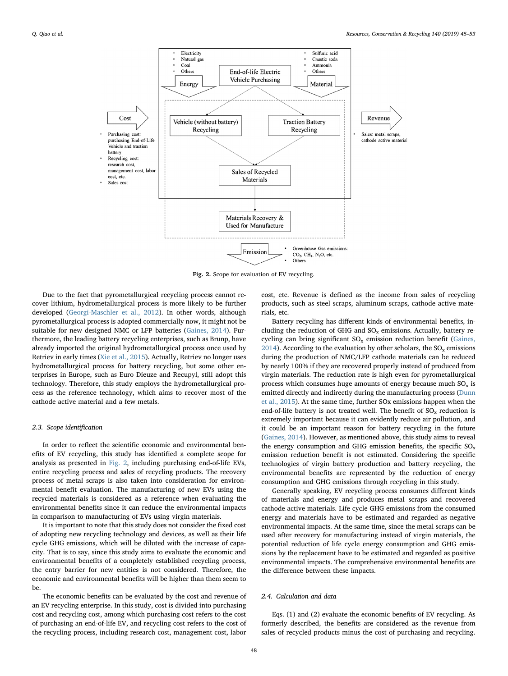<span id="page-3-0"></span>

Fig. 2. Scope for evaluation of EV recycling.

Due to the fact that pyrometallurgical recycling process cannot recover lithium, hydrometallurgical process is more likely to be further developed ([Georgi-Maschler et al., 2012](#page-8-34)). In other words, although pyrometallurgical process is adopted commercially now, it might not be suitable for new designed NMC or LFP batteries ([Gaines, 2014\)](#page-8-15). Furthermore, the leading battery recycling enterprises, such as Brunp, have already imported the original hydrometallurgical process once used by Retriev in early times ([Xie et al., 2015](#page-8-35)). Actually, Retriev no longer uses hydrometallurgical process for battery recycling, but some other enterprises in Europe, such as Euro Dieuze and Recupyl, still adopt this technology. Therefore, this study employs the hydrometallurgical process as the reference technology, which aims to recover most of the cathode active material and a few metals.

#### 2.3. Scope identification

In order to reflect the scientific economic and environmental benefits of EV recycling, this study has identified a complete scope for analysis as presented in [Fig. 2,](#page-3-0) including purchasing end-of-life EVs, entire recycling process and sales of recycling products. The recovery process of metal scraps is also taken into consideration for environmental benefit evaluation. The manufacturing of new EVs using the recycled materials is considered as a reference when evaluating the environmental benefits since it can reduce the environmental impacts in comparison to manufacturing of EVs using virgin materials.

It is important to note that this study does not consider the fixed cost of adopting new recycling technology and devices, as well as their life cycle GHG emissions, which will be diluted with the increase of capacity. That is to say, since this study aims to evaluate the economic and environmental benefits of a completely established recycling process, the entry barrier for new entities is not considered. Therefore, the economic and environmental benefits will be higher than them seem to be.

The economic benefits can be evaluated by the cost and revenue of an EV recycling enterprise. In this study, cost is divided into purchasing cost and recycling cost, among which purchasing cost refers to the cost of purchasing an end-of-life EV, and recycling cost refers to the cost of the recycling process, including research cost, management cost, labor

cost, etc. Revenue is defined as the income from sales of recycling products, such as steel scraps, aluminum scraps, cathode active materials, etc.

Battery recycling has different kinds of environmental benefits, including the reduction of GHG and  $SO_x$  emissions. Actually, battery recycling can bring significant  $SO_x$  emission reduction benefit ([Gaines,](#page-8-15) [2014\)](#page-8-15). According to the evaluation by other scholars, the  $SO_x$  emissions during the production of NMC/LFP cathode materials can be reduced by nearly 100% if they are recovered properly instead of produced from virgin materials. The reduction rate is high even for pyrometallurgical process which consumes huge amounts of energy because much  $SO_x$  is emitted directly and indirectly during the manufacturing process ([Dunn](#page-8-17) [et al., 2015](#page-8-17)). At the same time, further SOx emissions happen when the end-of-life battery is not treated well. The benefit of  $SO_x$  reduction is extremely important because it can evidently reduce air pollution, and it could be an important reason for battery recycling in the future ([Gaines, 2014](#page-8-15)). However, as mentioned above, this study aims to reveal the energy consumption and GHG emission benefits, the specific  $SO_x$ emission reduction benefit is not estimated. Considering the specific technologies of virgin battery production and battery recycling, the environmental benefits are represented by the reduction of energy consumption and GHG emissions through recycling in this study.

Generally speaking, EV recycling process consumes different kinds of materials and energy and produces metal scraps and recovered cathode active materials. Life cycle GHG emissions from the consumed energy and materials have to be estimated and regarded as negative environmental impacts. At the same time, since the metal scraps can be used after recovery for manufacturing instead of virgin materials, the potential reduction of life cycle energy consumption and GHG emissions by the replacement have to be estimated and regarded as positive environmental impacts. The comprehensive environmental benefits are the difference between these impacts.

#### 2.4. Calculation and data

Eqs. (1) and (2) evaluate the economic benefits of EV recycling. As formerly described, the benefits are considered as the revenue from sales of recycled products minus the cost of purchasing and recycling.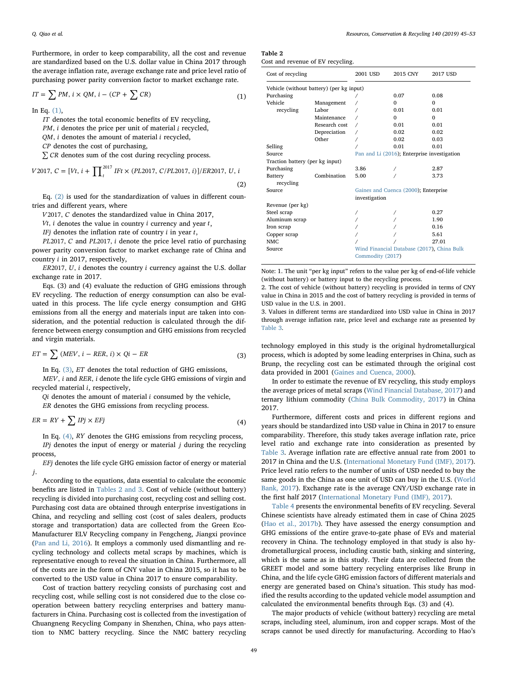Furthermore, in order to keep comparability, all the cost and revenue are standardized based on the U.S. dollar value in China 2017 through the average inflation rate, average exchange rate and price level ratio of purchasing power parity conversion factor to market exchange rate.

<span id="page-4-0"></span>
$$
IT = \sum PM, \, i \times QM, \, i - (CP + \sum CR) \tag{1}
$$

In Eq.  $(1)$ ,

*IT* denotes the total economic benefits of EV recycling,

*PM*, *i* denotes the price per unit of material *i* recycled,

*QM*, *i* denotes the amount of material *i* recycled,

*CP* denotes the cost of purchasing,

<span id="page-4-1"></span>∑ *CR* denotes sum of the cost during recycling process.

$$
V2017, C = [Vt, i + \prod_{t}^{2017} IFt \times (PL2017, C/PL2017, i)]/ER2017, U, i
$$
\n(2)

Eq. [\(2\)](#page-4-1) is used for the standardization of values in different countries and different years, where

*V* 2017, *C* denotes the standardized value in China 2017,

*Vt*, *i* denotes the value in country *i* currency and year *t*,

*IFj* denotes the inflation rate of country *i* in year *t*,

*PL* 2017, *C* and *PL* 2017, *i* denote the price level ratio of purchasing power parity conversion factor to market exchange rate of China and country *i* in 2017, respectively,

*ER* 2017, *U*, *i* denotes the country *i* currency against the U.S. dollar exchange rate in 2017.

Eqs. (3) and (4) evaluate the reduction of GHG emissions through EV recycling. The reduction of energy consumption can also be evaluated in this process. The life cycle energy consumption and GHG emissions from all the energy and materials input are taken into consideration, and the potential reduction is calculated through the difference between energy consumption and GHG emissions from recycled and virgin materials.

<span id="page-4-2"></span>
$$
ET = \sum (MEV, i - RER, i) \times Qi - ER \tag{3}
$$

In Eq. [\(3\)](#page-4-2), *ET* denotes the total reduction of GHG emissions,

*MEV*, *i* and *RER*, *i* denote the life cycle GHG emissions of virgin and recycled material *i*, respectively,

*Qi* denotes the amount of material *i* consumed by the vehicle,

<span id="page-4-3"></span>*ER* denotes the GHG emissions from recycling process.

$$
ER = RY + \sum IPj \times EFj \tag{4}
$$

In Eq. [\(4\)](#page-4-3), *RY* denotes the GHG emissions from recycling process, *IPj* denotes the input of energy or material *j* during the recycling process,

*EFj* denotes the life cycle GHG emission factor of energy or material *j*.

According to the equations, data essential to calculate the economic benefits are listed in [Tables 2 and 3.](#page-4-4) Cost of vehicle (without battery) recycling is divided into purchasing cost, recycling cost and selling cost. Purchasing cost data are obtained through enterprise investigations in China, and recycling and selling cost (cost of sales dealers, products storage and transportation) data are collected from the Green Eco-Manufacturer ELV Recycling company in Fengcheng, Jiangxi province ([Pan and Li, 2016\)](#page-8-13). It employs a commonly used dismantling and recycling technology and collects metal scraps by machines, which is representative enough to reveal the situation in China. Furthermore, all of the costs are in the form of CNY value in China 2015, so it has to be converted to the USD value in China 2017 to ensure comparability.

Cost of traction battery recycling consists of purchasing cost and recycling cost, while selling cost is not considered due to the close cooperation between battery recycling enterprises and battery manufacturers in China. Purchasing cost is collected from the investigation of Chuangneng Recycling Company in Shenzhen, China, who pays attention to NMC battery recycling. Since the NMC battery recycling

<span id="page-4-4"></span>

| J. | l'able |  |
|----|--------|--|
|    |        |  |

|  |  | Cost and revenue of EV recycling. |
|--|--|-----------------------------------|

| Cost of recycling                        |               | 2001 USD                                    | 2015 CNY                                   | 2017 USD |  |
|------------------------------------------|---------------|---------------------------------------------|--------------------------------------------|----------|--|
| Vehicle (without battery) (per kg input) |               |                                             |                                            |          |  |
| Purchasing                               |               |                                             | 0.07                                       | 0.08     |  |
| Vehicle                                  | Management    |                                             | 0                                          | $\Omega$ |  |
| recycling                                | Labor         |                                             | 0.01                                       | 0.01     |  |
|                                          | Maintenance   |                                             | $\Omega$                                   | $\Omega$ |  |
|                                          | Research cost |                                             | 0.01                                       | 0.01     |  |
|                                          | Depreciation  |                                             | 0.02                                       | 0.02     |  |
|                                          | Other         |                                             | 0.02                                       | 0.03     |  |
| Selling                                  |               |                                             | 0.01                                       | 0.01     |  |
| Source                                   |               | Pan and Li (2016); Enterprise investigation |                                            |          |  |
| Traction battery (per kg input)          |               |                                             |                                            |          |  |
| Purchasing                               |               | 3.86                                        |                                            | 2.87     |  |
| Battery<br>recycling                     | Combination   | 5.00                                        |                                            | 3.73     |  |
| Source                                   |               |                                             | Gaines and Cuenca (2000); Enterprise       |          |  |
|                                          |               | investigation                               |                                            |          |  |
| Revenue (per kg)                         |               |                                             |                                            |          |  |
| Steel scrap                              |               |                                             |                                            | 0.27     |  |
| Aluminum scrap                           |               |                                             |                                            | 1.90     |  |
| Iron scrap                               |               |                                             |                                            | 0.16     |  |
| Copper scrap                             |               |                                             |                                            | 5.61     |  |
| NMC                                      |               |                                             |                                            | 27.01    |  |
| Source                                   |               | Commodity (2017)                            | Wind Financial Database (2017), China Bulk |          |  |

Note: 1. The unit "per kg input" refers to the value per kg of end-of-life vehicle (without battery) or battery input to the recycling process.

2. The cost of vehicle (without battery) recycling is provided in terms of CNY value in China in 2015 and the cost of battery recycling is provided in terms of USD value in the U.S. in 2001.

3. Values in different terms are standardized into USD value in China in 2017 through average inflation rate, price level and exchange rate as presented by [Table 3.](#page-5-0)

technology employed in this study is the original hydrometallurgical process, which is adopted by some leading enterprises in China, such as Brunp, the recycling cost can be estimated through the original cost data provided in 2001 ([Gaines and Cuenca, 2000](#page-8-14)).

In order to estimate the revenue of EV recycling, this study employs the average prices of metal scraps ([Wind Financial Database, 2017](#page-8-36)) and ternary lithium commodity ([China Bulk Commodity, 2017](#page-8-37)) in China 2017.

Furthermore, different costs and prices in different regions and years should be standardized into USD value in China in 2017 to ensure comparability. Therefore, this study takes average inflation rate, price level ratio and exchange rate into consideration as presented by [Table 3](#page-5-0). Average inflation rate are effective annual rate from 2001 to 2017 in China and the U.S. [\(International Monetary Fund \(IMF\), 2017](#page-8-38)). Price level ratio refers to the number of units of USD needed to buy the same goods in the China as one unit of USD can buy in the U.S. ([World](#page-8-39) [Bank, 2017](#page-8-39)). Exchange rate is the average CNY/USD exchange rate in the first half 2017 ([International Monetary Fund \(IMF\), 2017](#page-8-38)).

[Table 4](#page-5-1) presents the environmental benefits of EV recycling. Several Chinese scientists have already estimated them in case of China 2025 ([Hao et al., 2017b](#page-8-23)). They have assessed the energy consumption and GHG emissions of the entire grave-to-gate phase of EVs and material recovery in China. The technology employed in that study is also hydrometallurgical process, including caustic bath, sinking and sintering, which is the same as in this study. Their data are collected from the GREET model and some battery recycling enterprises like Brunp in China, and the life cycle GHG emission factors of different materials and energy are generated based on China's situation. This study has modified the results according to the updated vehicle model assumption and calculated the environmental benefits through Eqs. (3) and (4).

The major products of vehicle (without battery) recycling are metal scraps, including steel, aluminum, iron and copper scraps. Most of the scraps cannot be used directly for manufacturing. According to Hao's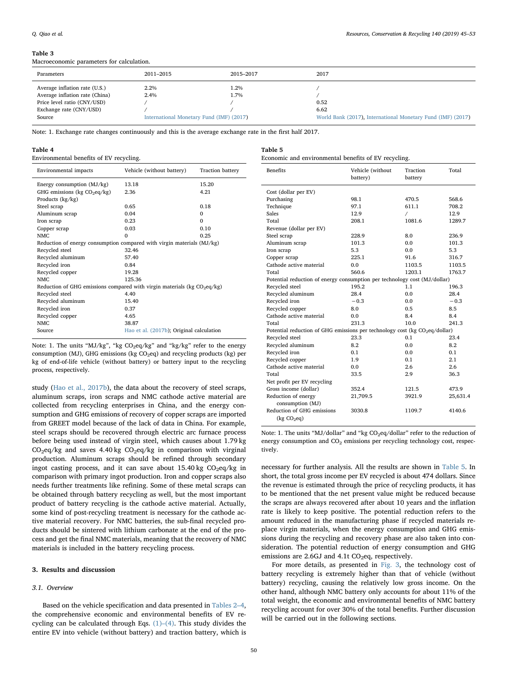#### Q. Qiao et al. *Resources, Conservation & Recycling 140 (2019) 45–53*

#### <span id="page-5-0"></span>Table 3

Macroeconomic parameters for calculation.

| Parameters                                                                                                                          | 2011–2015                                                | 2015-2017    | 2017                                                                        |
|-------------------------------------------------------------------------------------------------------------------------------------|----------------------------------------------------------|--------------|-----------------------------------------------------------------------------|
| Average inflation rate (U.S.)<br>Average inflation rate (China)<br>Price level ratio (CNY/USD)<br>Exchange rate (CNY/USD)<br>Source | 2.2%<br>2.4%<br>International Monetary Fund (IMF) (2017) | 1.2%<br>1.7% | 0.52<br>6.62<br>World Bank (2017), International Monetary Fund (IMF) (2017) |

<span id="page-5-2"></span>Table 5

Note: 1. Exchange rate changes continuously and this is the average exchange rate in the first half 2017.

#### <span id="page-5-1"></span>Table 4

Environmental benefits of EV recycling.

| Environmental impacts                                                      | Vehicle (without battery)                | <b>Traction battery</b> |
|----------------------------------------------------------------------------|------------------------------------------|-------------------------|
| Energy consumption $(MJ/kg)$                                               | 13.18                                    | 15.20                   |
| GHG emissions (kg $CO2eq/kg$ )                                             | 2.36                                     | 4.21                    |
| Products (kg/kg)                                                           |                                          |                         |
| Steel scrap                                                                | 0.65                                     | 0.18                    |
| Aluminum scrap                                                             | 0.04                                     | $\Omega$                |
| Iron scrap                                                                 | 0.23                                     | $\Omega$                |
| Copper scrap                                                               | 0.03                                     | 0.10                    |
| NMC.                                                                       | $\Omega$                                 | 0.25                    |
| Reduction of energy consumption compared with virgin materials (MJ/kg)     |                                          |                         |
| Recycled steel                                                             | 32.46                                    |                         |
| Recycled aluminum                                                          | 57.40                                    |                         |
| Recycled iron                                                              | 0.84                                     |                         |
| Recycled copper                                                            | 19.28                                    |                         |
| NMC.                                                                       | 125.36                                   |                         |
| Reduction of GHG emissions compared with virgin materials (kg $CO2eq/kg$ ) |                                          |                         |
| Recycled steel                                                             | 4.40                                     |                         |
| Recycled aluminum                                                          | 15.40                                    |                         |
| Recycled iron                                                              | 0.37                                     |                         |
| Recycled copper                                                            | 4.65                                     |                         |
| NMC.                                                                       | 38.87                                    |                         |
| Source                                                                     | Hao et al. (2017b); Original calculation |                         |
|                                                                            |                                          |                         |

Note: 1. The units "MJ/kg", "kg CO<sub>2</sub>eq/kg" and "kg/kg" refer to the energy consumption (MJ), GHG emissions (kg  $CO<sub>2</sub>eq$ ) and recycling products (kg) per kg of end-of-life vehicle (without battery) or battery input to the recycling process, respectively.

study ([Hao et al., 2017b](#page-8-23)), the data about the recovery of steel scraps, aluminum scraps, iron scraps and NMC cathode active material are collected from recycling enterprises in China, and the energy consumption and GHG emissions of recovery of copper scraps are imported from GREET model because of the lack of data in China. For example, steel scraps should be recovered through electric arc furnace process before being used instead of virgin steel, which causes about 1.79 kg  $CO<sub>2</sub>$ eq/kg and saves 4.40 kg  $CO<sub>2</sub>$ eq/kg in comparison with virginal production. Aluminum scraps should be refined through secondary ingot casting process, and it can save about  $15.40 \text{ kg } CO_2$ eq/kg in comparison with primary ingot production. Iron and copper scraps also needs further treatments like refining. Some of these metal scraps can be obtained through battery recycling as well, but the most important product of battery recycling is the cathode active material. Actually, some kind of post-recycling treatment is necessary for the cathode active material recovery. For NMC batteries, the sub-final recycled products should be sintered with lithium carbonate at the end of the process and get the final NMC materials, meaning that the recovery of NMC materials is included in the battery recycling process.

#### 3. Results and discussion

#### 3.1. Overview

Based on the vehicle specification and data presented in [Tables 2](#page-4-4)–4, the comprehensive economic and environmental benefits of EV recycling can be calculated through Eqs. [\(1\)](#page-4-0)–(4). This study divides the entire EV into vehicle (without battery) and traction battery, which is

| tuvic v |                                                      |  |  |
|---------|------------------------------------------------------|--|--|
|         | Economic and environmental benefits of EV recycling. |  |  |

| <b>Benefits</b>                                                                         | Vehicle (without<br>battery)                                              | Traction<br>battery | Total    |
|-----------------------------------------------------------------------------------------|---------------------------------------------------------------------------|---------------------|----------|
| Cost (dollar per EV)                                                                    |                                                                           |                     |          |
| Purchasing                                                                              | 98.1                                                                      | 470.5               | 568.6    |
| Technique                                                                               | 97.1                                                                      | 611.1               | 708.2    |
| <b>Sales</b>                                                                            | 12.9                                                                      | $\sqrt{2}$          | 12.9     |
| Total                                                                                   | 208.1                                                                     | 1081.6              | 1289.7   |
| Revenue (dollar per EV)                                                                 |                                                                           |                     |          |
| Steel scrap                                                                             | 228.9                                                                     | 8.0                 | 236.9    |
| Aluminum scrap                                                                          | 101.3                                                                     | 0.0                 | 101.3    |
| Iron scrap                                                                              | 5.3                                                                       | 0.0                 | 5.3      |
| Copper scrap                                                                            | 225.1                                                                     | 91.6                | 316.7    |
| Cathode active material                                                                 | 0.0                                                                       | 1103.5              | 1103.5   |
| Total                                                                                   | 560.6                                                                     | 1203.1              | 1763.7   |
|                                                                                         | Potential reduction of energy consumption per technology cost (MJ/dollar) |                     |          |
| Recycled steel                                                                          | 195.2                                                                     | 1.1                 | 196.3    |
| Recycled aluminum                                                                       | 28.4                                                                      | 0.0                 | 28.4     |
| Recycled iron                                                                           | $-0.3$                                                                    | 0.0                 | $-0.3$   |
| Recycled copper                                                                         | 8.0                                                                       | 0.5                 | 8.5      |
| Cathode active material                                                                 | 0.0                                                                       | 8.4                 | 8.4      |
| Total                                                                                   | 231.3                                                                     | 10.0                | 241.3    |
| Potential reduction of GHG emissions per technology cost (kg CO <sub>2</sub> eq/dollar) |                                                                           |                     |          |
| Recycled steel                                                                          | 23.3                                                                      | 0.1                 | 23.4     |
| Recycled aluminum                                                                       | 8.2                                                                       | 0.0                 | 8.2      |
| Recycled iron                                                                           | 0.1                                                                       | 0.0                 | 0.1      |
| Recycled copper                                                                         | 1.9                                                                       | 0.1                 | 2.1      |
| Cathode active material                                                                 | 0.0                                                                       | 2.6                 | 2.6      |
| Total                                                                                   | 33.5                                                                      | 2.9                 | 36.3     |
| Net profit per EV recycling                                                             |                                                                           |                     |          |
| Gross income (dollar)                                                                   | 352.4                                                                     | 121.5               | 473.9    |
| Reduction of energy                                                                     | 21,709.5                                                                  | 3921.9              | 25,631.4 |
| consumption (MJ)                                                                        |                                                                           |                     |          |
| Reduction of GHG emissions<br>(kg CO <sub>2</sub> eq)                                   | 3030.8                                                                    | 1109.7              | 4140.6   |
|                                                                                         |                                                                           |                     |          |

Note: 1. The units "MJ/dollar" and "kg  $CO<sub>2</sub>eq/dollar"$  refer to the reduction of energy consumption and  $CO<sub>2</sub>$  emissions per recycling technology cost, respectively.

necessary for further analysis. All the results are shown in [Table 5](#page-5-2). In short, the total gross income per EV recycled is about 474 dollars. Since the revenue is estimated through the price of recycling products, it has to be mentioned that the net present value might be reduced because the scraps are always recovered after about 10 years and the inflation rate is likely to keep positive. The potential reduction refers to the amount reduced in the manufacturing phase if recycled materials replace virgin materials, when the energy consumption and GHG emissions during the recycling and recovery phase are also taken into consideration. The potential reduction of energy consumption and GHG emissions are 2.6GJ and  $4.1t$  CO<sub>2</sub>eq, respectively.

For more details, as presented in [Fig. 3](#page-6-0), the technology cost of battery recycling is extremely higher than that of vehicle (without battery) recycling, causing the relatively low gross income. On the other hand, although NMC battery only accounts for about 11% of the total weight, the economic and environmental benefits of NMC battery recycling account for over 30% of the total benefits. Further discussion will be carried out in the following sections.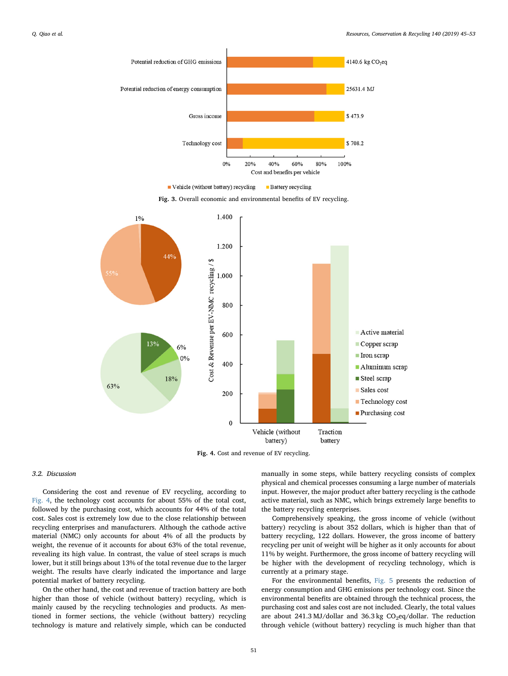<span id="page-6-0"></span>

Vehicle (without battery) recycling **Battery** recycling

Fig. 3. Overall economic and environmental benefits of EV recycling.

<span id="page-6-1"></span>

Fig. 4. Cost and revenue of EV recycling.

# 3.2. Discussion

Considering the cost and revenue of EV recycling, according to [Fig. 4,](#page-6-1) the technology cost accounts for about 55% of the total cost, followed by the purchasing cost, which accounts for 44% of the total cost. Sales cost is extremely low due to the close relationship between recycling enterprises and manufacturers. Although the cathode active material (NMC) only accounts for about 4% of all the products by weight, the revenue of it accounts for about 63% of the total revenue, revealing its high value. In contrast, the value of steel scraps is much lower, but it still brings about 13% of the total revenue due to the larger weight. The results have clearly indicated the importance and large potential market of battery recycling.

On the other hand, the cost and revenue of traction battery are both higher than those of vehicle (without battery) recycling, which is mainly caused by the recycling technologies and products. As mentioned in former sections, the vehicle (without battery) recycling technology is mature and relatively simple, which can be conducted

manually in some steps, while battery recycling consists of complex physical and chemical processes consuming a large number of materials input. However, the major product after battery recycling is the cathode active material, such as NMC, which brings extremely large benefits to the battery recycling enterprises.

Comprehensively speaking, the gross income of vehicle (without battery) recycling is about 352 dollars, which is higher than that of battery recycling, 122 dollars. However, the gross income of battery recycling per unit of weight will be higher as it only accounts for about 11% by weight. Furthermore, the gross income of battery recycling will be higher with the development of recycling technology, which is currently at a primary stage.

For the environmental benefits, [Fig. 5](#page-7-8) presents the reduction of energy consumption and GHG emissions per technology cost. Since the environmental benefits are obtained through the technical process, the purchasing cost and sales cost are not included. Clearly, the total values are about 241.3 MJ/dollar and 36.3 kg  $CO<sub>2</sub>eq/dollar$ . The reduction through vehicle (without battery) recycling is much higher than that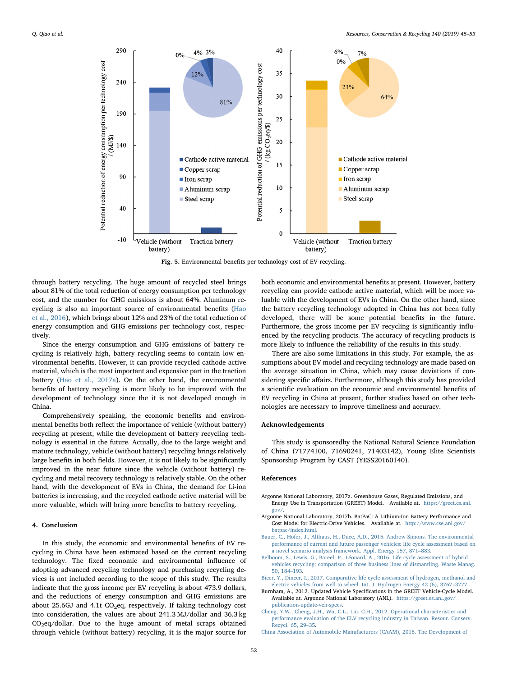<span id="page-7-8"></span>

Fig. 5. Environmental benefits per technology cost of EV recycling.

through battery recycling. The huge amount of recycled steel brings about 81% of the total reduction of energy consumption per technology cost, and the number for GHG emissions is about 64%. Aluminum recycling is also an important source of environmental benefits [\(Hao](#page-8-40) [et al., 2016](#page-8-40)), which brings about 12% and 23% of the total reduction of energy consumption and GHG emissions per technology cost, respectively.

Since the energy consumption and GHG emissions of battery recycling is relatively high, battery recycling seems to contain low environmental benefits. However, it can provide recycled cathode active material, which is the most important and expensive part in the traction battery ([Hao et al., 2017a](#page-8-41)). On the other hand, the environmental benefits of battery recycling is more likely to be improved with the development of technology since the it is not developed enough in China.

Comprehensively speaking, the economic benefits and environmental benefits both reflect the importance of vehicle (without battery) recycling at present, while the development of battery recycling technology is essential in the future. Actually, due to the large weight and mature technology, vehicle (without battery) recycling brings relatively large benefits in both fields. However, it is not likely to be significantly improved in the near future since the vehicle (without battery) recycling and metal recovery technology is relatively stable. On the other hand, with the development of EVs in China, the demand for Li-ion batteries is increasing, and the recycled cathode active material will be more valuable, which will bring more benefits to battery recycling.

### 4. Conclusion

In this study, the economic and environmental benefits of EV recycling in China have been estimated based on the current recycling technology. The fixed economic and environmental influence of adopting advanced recycling technology and purchasing recycling devices is not included according to the scope of this study. The results indicate that the gross income per EV recycling is about 473.9 dollars, and the reductions of energy consumption and GHG emissions are about 25.6GJ and 4.1t  $CO<sub>2</sub>$ eq, respectively. If taking technology cost into consideration, the values are about 241.3 MJ/dollar and 36.3 kg  $CO<sub>2</sub>$ eq/dollar. Due to the huge amount of metal scraps obtained through vehicle (without battery) recycling, it is the major source for

both economic and environmental benefits at present. However, battery recycling can provide cathode active material, which will be more valuable with the development of EVs in China. On the other hand, since the battery recycling technology adopted in China has not been fully developed, there will be some potential benefits in the future. Furthermore, the gross income per EV recycling is significantly influenced by the recycling products. The accuracy of recycling products is more likely to influence the reliability of the results in this study.

There are also some limitations in this study. For example, the assumptions about EV model and recycling technology are made based on the average situation in China, which may cause deviations if considering specific affairs. Furthermore, although this study has provided a scientific evaluation on the economic and environmental benefits of EV recycling in China at present, further studies based on other technologies are necessary to improve timeliness and accuracy.

## Acknowledgements

This study is sponsoredby the National Natural Science Foundation of China (71774100, 71690241, 71403142), Young Elite Scientists Sponsorship Program by CAST (YESS20160140).

#### References

- <span id="page-7-0"></span>Argonne National Laboratory, 2017a. Greenhouse Gases, Regulated Emissions, and Energy Use in Transportation (GREET) Model. Available at. [https://greet.es.anl.](https://greet.es.anl.gov/) [gov/.](https://greet.es.anl.gov/)
- <span id="page-7-5"></span>Argonne National Laboratory, 2017b. BatPaC: A Lithium-Ion Battery Performance and Cost Model for Electric-Drive Vehicles. Available at. [http://www.cse.anl.gov/](http://www.cse.anl.gov/batpac/index.html) [batpac/index.html.](http://www.cse.anl.gov/batpac/index.html)
- <span id="page-7-1"></span>[Bauer, C., Hofer, J., Althaus, H., Duce, A.D., 2015. Andrew Simons. The environmental](http://refhub.elsevier.com/S0921-3449(18)30328-8/sbref0015) [performance of current and future passenger vehicles: life cycle assessment based on](http://refhub.elsevier.com/S0921-3449(18)30328-8/sbref0015) [a novel scenario analysis framework. Appl. Energy 157, 871](http://refhub.elsevier.com/S0921-3449(18)30328-8/sbref0015)–883.
- <span id="page-7-6"></span>[Belboom, S., Lewis, G., Bareel, P., Léonard, A., 2016. Life cycle assessment of hybrid](http://refhub.elsevier.com/S0921-3449(18)30328-8/sbref0020) [vehicles recycling: comparison of three business lines of dismantling. Waste Manag.](http://refhub.elsevier.com/S0921-3449(18)30328-8/sbref0020) [50, 184](http://refhub.elsevier.com/S0921-3449(18)30328-8/sbref0020)–193.
- <span id="page-7-2"></span>[Bicer, Y., Dincer, I., 2017. Comparative life cycle assessment of hydrogen, methanol and](http://refhub.elsevier.com/S0921-3449(18)30328-8/sbref0025) [electric vehicles from well to wheel. Int. J. Hydrogen Energy 42 \(6\), 3767](http://refhub.elsevier.com/S0921-3449(18)30328-8/sbref0025)–3777.
- <span id="page-7-3"></span>Burnham, A., 2012. Updated Vehicle Specifications in the GREET Vehicle-Cycle Model. Available at. Argonne National Laboratory (ANL). [https://greet.es.anl.gov/](https://greet.es.anl.gov/publication-update-veh-specs) publication-update-veh-spec
- <span id="page-7-7"></span>[Cheng, Y.W., Cheng, J.H., Wu, C.L., Lin, C.H., 2012. Operational characteristics and](http://refhub.elsevier.com/S0921-3449(18)30328-8/sbref0035) [performance evaluation of the ELV recycling industry in Taiwan. Resour. Conserv.](http://refhub.elsevier.com/S0921-3449(18)30328-8/sbref0035) [Recycl. 65, 29](http://refhub.elsevier.com/S0921-3449(18)30328-8/sbref0035)–35.
- <span id="page-7-4"></span>[China Association of Automobile Manufacturers \(CAAM\), 2016. The Development of](http://refhub.elsevier.com/S0921-3449(18)30328-8/sbref0040)